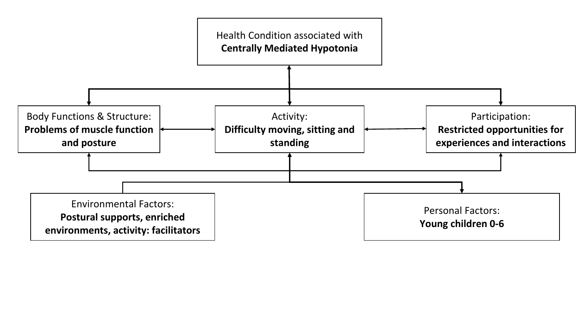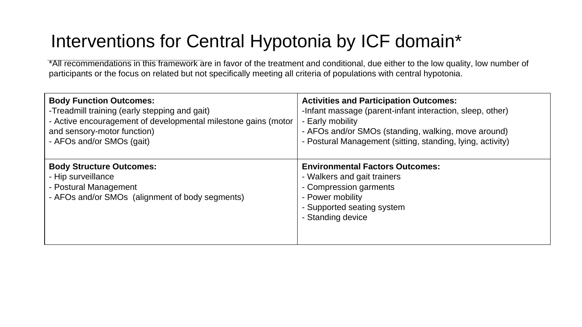## Interventions for Central Hypotonia by ICF domain\*

\*All recommendations in this framework are in favor of the treatment and conditional, due either to the low quality, low number of participants or the focus on related but not specifically meeting all criteria of populations with central hypotonia.

| <b>Body Function Outcomes:</b>                                                                                                    | <b>Activities and Participation Outcomes:</b>                                                                                                                          |
|-----------------------------------------------------------------------------------------------------------------------------------|------------------------------------------------------------------------------------------------------------------------------------------------------------------------|
| -Treadmill training (early stepping and gait)                                                                                     | -Infant massage (parent-infant interaction, sleep, other)                                                                                                              |
| - Active encouragement of developmental milestone gains (motor                                                                    | - Early mobility                                                                                                                                                       |
| and sensory-motor function)                                                                                                       | - AFOs and/or SMOs (standing, walking, move around)                                                                                                                    |
| - AFOs and/or SMOs (gait)                                                                                                         | - Postural Management (sitting, standing, lying, activity)                                                                                                             |
| <b>Body Structure Outcomes:</b><br>- Hip surveillance<br>- Postural Management<br>- AFOs and/or SMOs (alignment of body segments) | <b>Environmental Factors Outcomes:</b><br>- Walkers and gait trainers<br>- Compression garments<br>- Power mobility<br>- Supported seating system<br>- Standing device |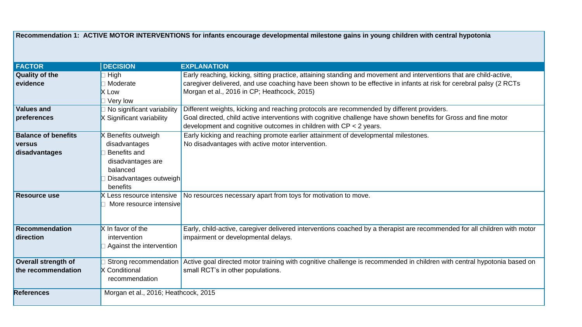|                            |                                      | Recommendation 1: ACTIVE MOTOR INTERVENTIONS for infants encourage developmental milestone gains in young children with central hypotonia     |
|----------------------------|--------------------------------------|-----------------------------------------------------------------------------------------------------------------------------------------------|
|                            |                                      |                                                                                                                                               |
| <b>FACTOR</b>              | <b>DECISION</b>                      | <b>EXPLANATION</b>                                                                                                                            |
| <b>Quality of the</b>      | High                                 | Early reaching, kicking, sitting practice, attaining standing and movement and interventions that are child-active,                           |
| evidence                   | □ Moderate                           | caregiver delivered, and use coaching have been shown to be effective in infants at risk for cerebral palsy (2 RCTs                           |
|                            | <b>X</b> Low                         | Morgan et al., 2016 in CP; Heathcock, 2015)                                                                                                   |
|                            | Very low                             |                                                                                                                                               |
| <b>Values and</b>          | No significant variability           | Different weights, kicking and reaching protocols are recommended by different providers.                                                     |
| preferences                | X Significant variability            | Goal directed, child active interventions with cognitive challenge have shown benefits for Gross and fine motor                               |
|                            |                                      | development and cognitive outcomes in children with $CP < 2$ years.                                                                           |
| <b>Balance of benefits</b> | X Benefits outweigh                  | Early kicking and reaching promote earlier attainment of developmental milestones.                                                            |
| <b>versus</b>              | disadvantages                        | No disadvantages with active motor intervention.                                                                                              |
| disadvantages              | Benefits and                         |                                                                                                                                               |
|                            | disadvantages are                    |                                                                                                                                               |
|                            | balanced                             |                                                                                                                                               |
|                            | Disadvantages outweigh               |                                                                                                                                               |
|                            | benefits                             |                                                                                                                                               |
| <b>Resource use</b>        | Less resource intensive              | No resources necessary apart from toys for motivation to move.                                                                                |
|                            | More resource intensive              |                                                                                                                                               |
|                            |                                      |                                                                                                                                               |
| <b>Recommendation</b>      | X In favor of the                    | Early, child-active, caregiver delivered interventions coached by a therapist are recommended for all children with motor                     |
| direction                  | intervention                         | impairment or developmental delays.                                                                                                           |
|                            | Against the intervention             |                                                                                                                                               |
|                            |                                      |                                                                                                                                               |
| <b>Overall strength of</b> |                                      | Strong recommendation Active goal directed motor training with cognitive challenge is recommended in children with central hypotonia based on |
| the recommendation         | <b>X</b> Conditional                 | small RCT's in other populations.                                                                                                             |
|                            | recommendation                       |                                                                                                                                               |
| <b>References</b>          | Morgan et al., 2016; Heathcock, 2015 |                                                                                                                                               |
|                            |                                      |                                                                                                                                               |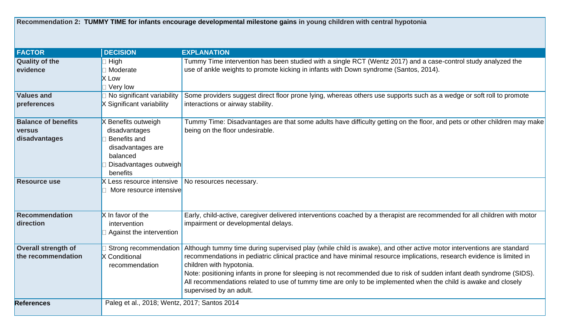**Recommendation 2: TUMMY TIME for infants encourage developmental milestone gains in young children with central hypotonia**

| <b>FACTOR</b>              | <b>DECISION</b>                              | <b>EXPLANATION</b>                                                                                                        |
|----------------------------|----------------------------------------------|---------------------------------------------------------------------------------------------------------------------------|
| <b>Quality of the</b>      | High                                         | Tummy Time intervention has been studied with a single RCT (Wentz 2017) and a case-control study analyzed the             |
| evidence                   | □ Moderate                                   | use of ankle weights to promote kicking in infants with Down syndrome (Santos, 2014).                                     |
|                            | <b>X</b> Low                                 |                                                                                                                           |
|                            | Very low                                     |                                                                                                                           |
| <b>Values and</b>          | No significant variability                   | Some providers suggest direct floor prone lying, whereas others use supports such as a wedge or soft roll to promote      |
| preferences                | X Significant variability                    | interactions or airway stability.                                                                                         |
|                            |                                              |                                                                                                                           |
| <b>Balance of benefits</b> | X Benefits outweigh                          | Tummy Time: Disadvantages are that some adults have difficulty getting on the floor, and pets or other children may make  |
| versus                     | disadvantages                                | being on the floor undesirable.                                                                                           |
| disadvantages              | Benefits and                                 |                                                                                                                           |
|                            | disadvantages are                            |                                                                                                                           |
|                            | balanced                                     |                                                                                                                           |
|                            | Disadvantages outweigh                       |                                                                                                                           |
|                            | benefits                                     |                                                                                                                           |
| <b>Resource use</b>        | X Less resource intensive                    | No resources necessary.                                                                                                   |
|                            | More resource intensive                      |                                                                                                                           |
|                            |                                              |                                                                                                                           |
|                            |                                              |                                                                                                                           |
| <b>Recommendation</b>      | X In favor of the                            | Early, child-active, caregiver delivered interventions coached by a therapist are recommended for all children with motor |
| direction                  | intervention                                 | impairment or developmental delays.                                                                                       |
|                            | Against the intervention                     |                                                                                                                           |
| <b>Overall strength of</b> | Strong recommendation                        | Although tummy time during supervised play (while child is awake), and other active motor interventions are standard      |
| the recommendation         | <b>X</b> Conditional                         | recommendations in pediatric clinical practice and have minimal resource implications, research evidence is limited in    |
|                            | recommendation                               | children with hypotonia.                                                                                                  |
|                            |                                              | Note: positioning infants in prone for sleeping is not recommended due to risk of sudden infant death syndrome (SIDS).    |
|                            |                                              | All recommendations related to use of tummy time are only to be implemented when the child is awake and closely           |
|                            |                                              | supervised by an adult.                                                                                                   |
|                            |                                              |                                                                                                                           |
| <b>References</b>          | Paleg et al., 2018; Wentz, 2017; Santos 2014 |                                                                                                                           |
|                            |                                              |                                                                                                                           |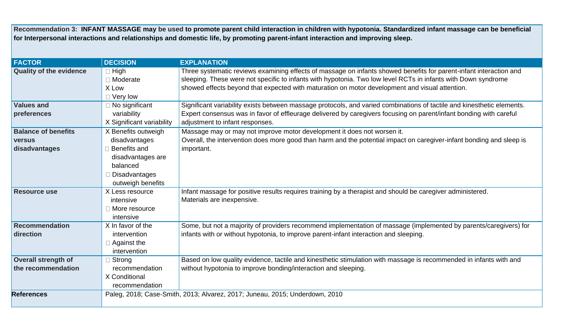**Recommendation 3: INFANT MASSAGE may be used to promote parent child interaction in children with hypotonia. Standardized infant massage can be beneficial for Interpersonal interactions and relationships and domestic life, by promoting parent-infant interaction and improving sleep.** 

| <b>FACTOR</b>                  | <b>DECISION</b>           | <b>EXPLANATION</b>                                                                                                     |
|--------------------------------|---------------------------|------------------------------------------------------------------------------------------------------------------------|
| <b>Quality of the evidence</b> | $\Box$ High               | Three systematic reviews examining effects of massage on infants showed benefits for parent-infant interaction and     |
|                                | □ Moderate                | sleeping. These were not specific to infants with hypotonia. Two low level RCTs in infants with Down syndrome          |
|                                | X Low                     | showed effects beyond that expected with maturation on motor development and visual attention.                         |
|                                | $\Box$ Very low           |                                                                                                                        |
| <b>Values and</b>              | □ No significant          | Significant variability exists between massage protocols, and varied combinations of tactile and kinesthetic elements. |
| preferences                    | variability               | Expert consensus was in favor of effleurage delivered by caregivers focusing on parent/infant bonding with careful     |
|                                | X Significant variability | adjustment to infant responses.                                                                                        |
| <b>Balance of benefits</b>     | X Benefits outweigh       | Massage may or may not improve motor development it does not worsen it.                                                |
| <b>versus</b>                  | disadvantages             | Overall, the intervention does more good than harm and the potential impact on caregiver-infant bonding and sleep is   |
| disadvantages                  | $\Box$ Benefits and       | important.                                                                                                             |
|                                | disadvantages are         |                                                                                                                        |
|                                | balanced                  |                                                                                                                        |
|                                | Disadvantages             |                                                                                                                        |
|                                | outweigh benefits         |                                                                                                                        |
| <b>Resource use</b>            | X Less resource           | Infant massage for positive results requires training by a therapist and should be caregiver administered.             |
|                                | intensive                 | Materials are inexpensive.                                                                                             |
|                                | □ More resource           |                                                                                                                        |
|                                | intensive                 |                                                                                                                        |
| Recommendation                 | X In favor of the         | Some, but not a majority of providers recommend implementation of massage (implemented by parents/caregivers) for      |
| direction                      | intervention              | infants with or without hypotonia, to improve parent-infant interaction and sleeping.                                  |
|                                | $\Box$ Against the        |                                                                                                                        |
|                                | intervention              |                                                                                                                        |
| Overall strength of            | Strong                    | Based on low quality evidence, tactile and kinesthetic stimulation with massage is recommended in infants with and     |
| the recommendation             | recommendation            | without hypotonia to improve bonding/interaction and sleeping.                                                         |
|                                | X Conditional             |                                                                                                                        |
|                                | recommendation            |                                                                                                                        |
| <b>References</b>              |                           | Paleg, 2018; Case-Smith, 2013; Alvarez, 2017; Juneau, 2015; Underdown, 2010                                            |
|                                |                           |                                                                                                                        |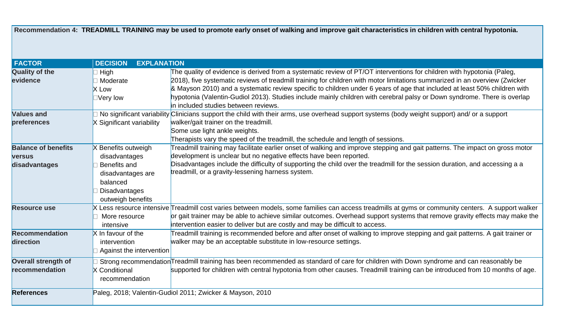**Recommendation 4: TREADMILL TRAINING may be used to promote early onset of walking and improve gait characteristics in children with central hypotonia.**

| <b>FACTOR</b>              | <b>DECISION</b><br><b>EXPLANATION</b> |                                                                                                                                               |
|----------------------------|---------------------------------------|-----------------------------------------------------------------------------------------------------------------------------------------------|
| <b>Quality of the</b>      | High                                  | The quality of evidence is derived from a systematic review of PT/OT interventions for children with hypotonia (Paleg,                        |
| evidence                   | Moderate                              | 2018), five systematic reviews of treadmill training for children with motor limitations summarized in an overview (Zwicker                   |
|                            | <b>X</b> Low                          | & Mayson 2010) and a systematic review specific to children under 6 years of age that included at least 50% children with                     |
|                            | $\Box$ Very low                       | hypotonia (Valentin-Gudiol 2013). Studies include mainly children with cerebral palsy or Down syndrome. There is overlap                      |
|                            |                                       | in included studies between reviews.                                                                                                          |
| <b>Values and</b>          |                                       | No significant variability Clinicians support the child with their arms, use overhead support systems (body weight support) and/ or a support |
| preferences                | X Significant variability             | walker/gait trainer on the treadmill.                                                                                                         |
|                            |                                       | Some use light ankle weights.                                                                                                                 |
|                            |                                       | Therapists vary the speed of the treadmill, the schedule and length of sessions.                                                              |
| <b>Balance of benefits</b> | X Benefits outweigh                   | Freadmill training may facilitate earlier onset of walking and improve stepping and gait patterns. The impact on gross motor                  |
| <b>versus</b>              | disadvantages                         | development is unclear but no negative effects have been reported.                                                                            |
| disadvantages              | Benefits and                          | Disadvantages include the difficulty of supporting the child over the treadmill for the session duration, and accessing a a                   |
|                            | disadvantages are                     | treadmill, or a gravity-lessening harness system.                                                                                             |
|                            | balanced                              |                                                                                                                                               |
|                            | <b>Disadvantages</b>                  |                                                                                                                                               |
|                            | outweigh benefits                     |                                                                                                                                               |
| <b>Resource use</b>        | Less resource intensive               | Treadmill cost varies between models, some families can access treadmills at gyms or community centers. A support walker                      |
|                            | More resource                         | or gait trainer may be able to achieve similar outcomes. Overhead support systems that remove gravity effects may make the                    |
|                            | intensive                             | intervention easier to deliver but are costly and may be difficult to access.                                                                 |
| <b>Recommendation</b>      | X In favour of the                    | Freadmill training is recommended before and after onset of walking to improve stepping and gait patterns. A gait trainer or                  |
| direction                  | intervention                          | walker may be an acceptable substitute in low-resource settings.                                                                              |
|                            | Against the intervention              |                                                                                                                                               |
| <b>Overall strength of</b> |                                       | Strong recommendation Treadmill training has been recommended as standard of care for children with Down syndrome and can reasonably be       |
| recommendation             | <b>X</b> Conditional                  | supported for children with central hypotonia from other causes. Treadmill training can be introduced from 10 months of age.                  |
|                            | recommendation                        |                                                                                                                                               |
|                            |                                       |                                                                                                                                               |
| <b>References</b>          |                                       | Paleg, 2018; Valentin-Gudiol 2011; Zwicker & Mayson, 2010                                                                                     |
|                            |                                       |                                                                                                                                               |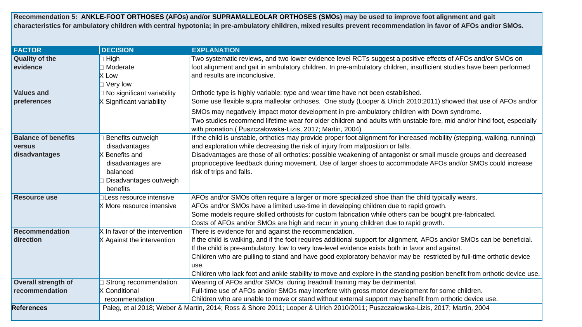**Recommendation 5: ANKLE-FOOT ORTHOSES (AFOs) and/or SUPRAMALLEOLAR ORTHOSES (SMOs) may be used to improve foot alignment and gait characteristics for ambulatory children with central hypotonia; in pre-ambulatory children, mixed results prevent recommendation in favor of AFOs and/or SMOs.**

| <b>FACTOR</b>              | <b>DECISION</b>                | <b>EXPLANATION</b>                                                                                                             |
|----------------------------|--------------------------------|--------------------------------------------------------------------------------------------------------------------------------|
| <b>Quality of the</b>      | High                           | Two systematic reviews, and two lower evidence level RCTs suggest a positive effects of AFOs and/or SMOs on                    |
| evidence                   | Moderate                       | foot alignment and gait in ambulatory children. In pre-ambulatory children, insufficient studies have been performed           |
|                            | X Low                          | and results are inconclusive.                                                                                                  |
|                            | Very low                       |                                                                                                                                |
| <b>Values and</b>          | No significant variability     | Orthotic type is highly variable; type and wear time have not been established.                                                |
| preferences                | X Significant variability      | Some use flexible supra malleolar orthoses. One study (Looper & Ulrich 2010;2011) showed that use of AFOs and/or               |
|                            |                                | SMOs may negatively impact motor development in pre-ambulatory children with Down syndrome.                                    |
|                            |                                | Two studies recommend lifetime wear for older children and adults with unstable fore, mid and/or hind foot, especially         |
|                            |                                | with pronation.(Puszczałowska-Lizis, 2017; Martin, 2004)                                                                       |
| <b>Balance of benefits</b> | Benefits outweigh              | If the child is unstable, orthotics may provide proper foot alignment for increased mobility (stepping, walking, running)      |
| versus                     | disadvantages                  | and exploration while decreasing the risk of injury from malposition or falls.                                                 |
| disadvantages              | X Benefits and                 | Disadvantages are those of all orthotics: possible weakening of antagonist or small muscle groups and decreased                |
|                            | disadvantages are              | proprioceptive feedback during movement. Use of larger shoes to accommodate AFOs and/or SMOs could increase                    |
|                            | balanced                       | risk of trips and falls.                                                                                                       |
|                            | Disadvantages outweigh         |                                                                                                                                |
|                            | benefits                       |                                                                                                                                |
| <b>Resource use</b>        | Less resource intensive        | AFOs and/or SMOs often require a larger or more specialized shoe than the child typically wears.                               |
|                            | X More resource intensive      | AFOs and/or SMOs have a limited use-time in developing children due to rapid growth.                                           |
|                            |                                | Some models require skilled orthotists for custom fabrication while others can be bought pre-fabricated.                       |
|                            |                                | Costs of AFOs and/or SMOs are high and recur in young children due to rapid growth.                                            |
| <b>Recommendation</b>      | X In favor of the intervention | There is evidence for and against the recommendation.                                                                          |
| direction                  | X Against the intervention     | If the child is walking, and if the foot requires additional support for alignment, AFOs and/or SMOs can be beneficial.        |
|                            |                                | If the child is pre-ambulatory, low to very low-level evidence exists both in favor and against.                               |
|                            |                                | Children who are pulling to stand and have good exploratory behavior may be restricted by full-time orthotic device            |
|                            |                                | use.                                                                                                                           |
|                            |                                | Children who lack foot and ankle stability to move and explore in the standing position benefit from orthotic device use.      |
| <b>Overall strength of</b> | Strong recommendation          | Wearing of AFOs and/or SMOs during treadmill training may be detrimental.                                                      |
| recommendation             | X Conditional                  | Full-time use of AFOs and/or SMOs may interfere with gross motor development for some children.                                |
|                            | recommendation                 | Children who are unable to move or stand without external support may benefit from orthotic device use.                        |
| <b>References</b>          |                                | Paleg, et al 2018; Weber & Martin, 2014; Ross & Shore 2011; Looper & Ulrich 2010/2011; Puszczałowska-Lizis, 2017; Martin, 2004 |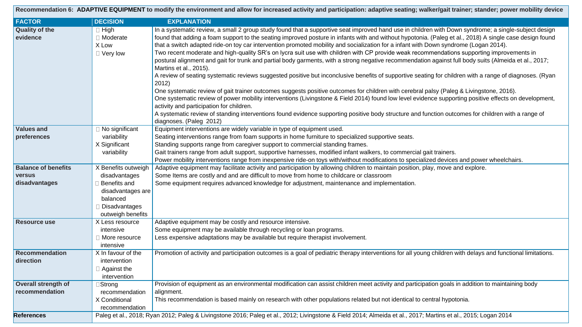|                                              |                                                                                                      | Recommendation 6: ADAPTIVE EQUIPMENT to modify the environment and allow for increased activity and participation: adaptive seating; walker/gait trainer; stander; power mobility device                                                                                                                                                                                                                                                                                                                                                                                                                                                                                                                                                                                                                                                                                                                                                                                                                                                                                                                                                                                                                                                                                                                                                                                                                                                                                                     |
|----------------------------------------------|------------------------------------------------------------------------------------------------------|----------------------------------------------------------------------------------------------------------------------------------------------------------------------------------------------------------------------------------------------------------------------------------------------------------------------------------------------------------------------------------------------------------------------------------------------------------------------------------------------------------------------------------------------------------------------------------------------------------------------------------------------------------------------------------------------------------------------------------------------------------------------------------------------------------------------------------------------------------------------------------------------------------------------------------------------------------------------------------------------------------------------------------------------------------------------------------------------------------------------------------------------------------------------------------------------------------------------------------------------------------------------------------------------------------------------------------------------------------------------------------------------------------------------------------------------------------------------------------------------|
| <b>FACTOR</b>                                | <b>DECISION</b>                                                                                      | <b>EXPLANATION</b>                                                                                                                                                                                                                                                                                                                                                                                                                                                                                                                                                                                                                                                                                                                                                                                                                                                                                                                                                                                                                                                                                                                                                                                                                                                                                                                                                                                                                                                                           |
| <b>Quality of the</b><br>evidence            | $\Box$ High<br>□ Moderate<br>X Low<br>$\Box$ Very low                                                | In a systematic review, a small 2 group study found that a supportive seat improved hand use in children with Down syndrome; a single-subject design<br>found that adding a foam support to the seating improved posture in infants with and without hypotonia. (Paleg et al., 2018) A single case design found<br>that a switch adapted ride-on toy car intervention promoted mobility and socialization for a infant with Down syndrome (Logan 2014).<br>Two recent moderate and high-quality SR's on lycra suit use with children with CP provide weak recommendations supporting improvements in<br>postural alignment and gait for trunk and partial body garments, with a strong negative recommendation against full body suits (Almeida et al., 2017;<br>Martins et al., 2015).<br>A review of seating systematic reviews suggested positive but inconclusive benefits of supportive seating for children with a range of diagnoses. (Ryan<br>2012)<br>One systematic review of gait trainer outcomes suggests positive outcomes for children with cerebral palsy (Paleg & Livingstone, 2016).<br>One systematic review of power mobility interventions (Livingstone & Field 2014) found low level evidence supporting positive effects on development,<br>activity and participation for children.<br>A systematic review of standing interventions found evidence supporting positive body structure and function outcomes for children with a range of<br>diagnoses. (Paleg 2012) |
| <b>Values and</b>                            | □ No significant                                                                                     | Equipment interventions are widely variable in type of equipment used.                                                                                                                                                                                                                                                                                                                                                                                                                                                                                                                                                                                                                                                                                                                                                                                                                                                                                                                                                                                                                                                                                                                                                                                                                                                                                                                                                                                                                       |
| preferences                                  | variability<br>X Significant<br>variability                                                          | Seating interventions range from foam supports in home furniture to specialized supportive seats.<br>Standing supports range from caregiver support to commercial standing frames.<br>Gait trainers range from adult support, supportive harnesses, modified infant walkers, to commercial gait trainers.<br>Power mobility interventions range from inexpensive ride-on toys with/without modifications to specialized devices and power wheelchairs.                                                                                                                                                                                                                                                                                                                                                                                                                                                                                                                                                                                                                                                                                                                                                                                                                                                                                                                                                                                                                                       |
| <b>Balance of benefits</b>                   | X Benefits outweigh                                                                                  | Adaptive equipment may facilitate activity and participation by allowing children to maintain position, play, move and explore.                                                                                                                                                                                                                                                                                                                                                                                                                                                                                                                                                                                                                                                                                                                                                                                                                                                                                                                                                                                                                                                                                                                                                                                                                                                                                                                                                              |
| <b>versus</b><br>disadvantages               | disadvantages<br>Benefits and<br>disadvantages are<br>balanced<br>Disadvantages<br>outweigh benefits | Some Items are costly and and are difficult to move from home to childcare or classroom<br>Some equipment requires advanced knowledge for adjustment, maintenance and implementation.                                                                                                                                                                                                                                                                                                                                                                                                                                                                                                                                                                                                                                                                                                                                                                                                                                                                                                                                                                                                                                                                                                                                                                                                                                                                                                        |
| <b>Resource use</b>                          | X Less resource<br>intensive<br>□ More resource<br>intensive                                         | Adaptive equipment may be costly and resource intensive.<br>Some equipment may be available through recycling or loan programs.<br>Less expensive adaptations may be available but require therapist involvement.                                                                                                                                                                                                                                                                                                                                                                                                                                                                                                                                                                                                                                                                                                                                                                                                                                                                                                                                                                                                                                                                                                                                                                                                                                                                            |
| <b>Recommendation</b><br>direction           | X In favour of the<br>intervention<br>$\Box$ Against the<br>intervention                             | Promotion of activity and participation outcomes is a goal of pediatric therapy interventions for all young children with delays and functional limitations.                                                                                                                                                                                                                                                                                                                                                                                                                                                                                                                                                                                                                                                                                                                                                                                                                                                                                                                                                                                                                                                                                                                                                                                                                                                                                                                                 |
| <b>Overall strength of</b><br>recommendation | ∃Strong<br>recommendation<br>X Conditional<br>recommendation                                         | Provision of equipment as an environmental modification can assist children meet activity and participation goals in addition to maintaining body<br>alignment.<br>This recommendation is based mainly on research with other populations related but not identical to central hypotonia.                                                                                                                                                                                                                                                                                                                                                                                                                                                                                                                                                                                                                                                                                                                                                                                                                                                                                                                                                                                                                                                                                                                                                                                                    |
| <b>References</b>                            |                                                                                                      | Paleg et al., 2018; Ryan 2012; Paleg & Livingstone 2016; Paleg et al., 2012; Livingstone & Field 2014; Almeida et al., 2017; Martins et al., 2015; Logan 2014                                                                                                                                                                                                                                                                                                                                                                                                                                                                                                                                                                                                                                                                                                                                                                                                                                                                                                                                                                                                                                                                                                                                                                                                                                                                                                                                |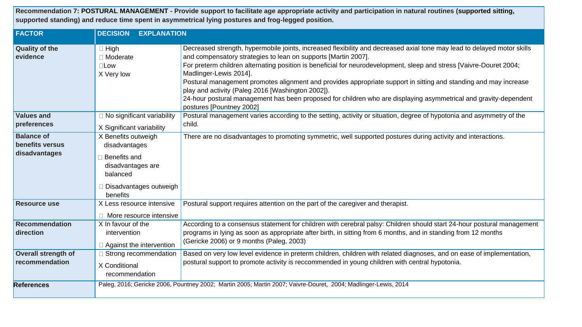**Recommendation 7: POSTURAL MANAGEMENT - Provide support to facilitate age appropriate activity and participation in natural routines (supported sitting, supported standing) and reduce time spent in asymmetrical lying postures and frog-legged position.** 

| <b>FACTOR</b>                                         | <b>DECISION</b><br><b>EXPLANATION</b>                                                                                              |                                                                                                                                                                                                                                                                                                                                                                                                                                                                                                                                                                                                                                                                     |
|-------------------------------------------------------|------------------------------------------------------------------------------------------------------------------------------------|---------------------------------------------------------------------------------------------------------------------------------------------------------------------------------------------------------------------------------------------------------------------------------------------------------------------------------------------------------------------------------------------------------------------------------------------------------------------------------------------------------------------------------------------------------------------------------------------------------------------------------------------------------------------|
| <b>Quality of the</b><br>evidence                     | $\Box$ High<br>$\Box$ Moderate<br>$\square$ Low<br>X Very low                                                                      | Decreased strength, hypermobile joints, increased flexibility and decreased axial tone may lead to delayed motor skills<br>and compensatory strategies to lean on supports [Martin 2007].<br>For preterm children alternating position is beneficial for neurodevelopment, sleep and stress [Vaivre-Douret 2004;<br>Madlinger-Lewis 2014].<br>Postural management promotes alignment and provides appropriate support in sitting and standing and may increase<br>play and activity (Paleg 2016 [Washington 2002]).<br>24-hour postural management has been proposed for children who are displaying asymmetrical and gravity-dependent<br>postures [Pountney 2002] |
| <b>Values and</b><br>preferences                      | $\Box$ No significant variability<br>X Significant variability                                                                     | Postural management varies according to the setting, activity or situation, degree of hypotonia and asymmetry of the<br>child.                                                                                                                                                                                                                                                                                                                                                                                                                                                                                                                                      |
| <b>Balance of</b><br>benefits versus<br>disadvantages | X Benefits outweigh<br>disadvantages<br>Benefits and<br>disadvantages are<br>balanced<br>$\Box$ Disadvantages outweigh<br>benefits | There are no disadvantages to promoting symmetric, well supported postures during activity and interactions.                                                                                                                                                                                                                                                                                                                                                                                                                                                                                                                                                        |
| <b>Resource use</b>                                   | X Less resource intensive<br>More resource intensive                                                                               | Postural support requires attention on the part of the caregiver and therapist.                                                                                                                                                                                                                                                                                                                                                                                                                                                                                                                                                                                     |
| Recommendation<br>direction                           | X In favour of the<br>intervention<br>$\Box$ Against the intervention                                                              | According to a consensus statement for children with cerebral palsy: Children should start 24-hour postural management<br>programs in lying as soon as appropriate after birth, in sitting from 6 months, and in standing from 12 months<br>(Gericke 2006) or 9 months (Paleg, 2003)                                                                                                                                                                                                                                                                                                                                                                                |
| <b>Overall strength of</b><br>recommendation          | Strong recommendation<br>X Conditional<br>recommendation                                                                           | Based on very low level evidence in preterm children, children with related diagnoses, and on ease of implementation,<br>postural support to promote activity is reccommended in young children with central hypotonia.                                                                                                                                                                                                                                                                                                                                                                                                                                             |
| <b>References</b>                                     |                                                                                                                                    | Paleg, 2016; Gericke 2006, Pountney 2002; Martin 2005; Martin 2007; Vaivre-Douret, 2004; Madlinger-Lewis, 2014                                                                                                                                                                                                                                                                                                                                                                                                                                                                                                                                                      |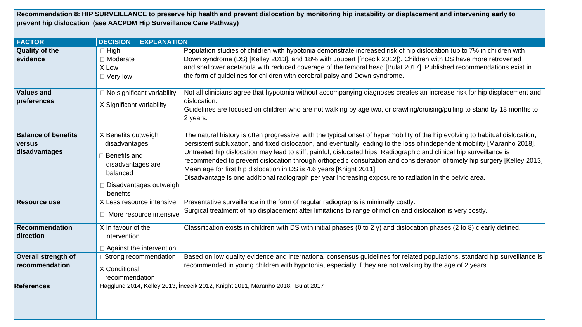**Recommendation 8: HIP SURVEILLANCE to preserve hip health and prevent dislocation by monitoring hip instability or displacement and intervening early to prevent hip dislocation (see AACPDM Hip Surveillance Care Pathway)** 

| <b>FACTOR</b>                                                | <b>DECISION</b><br><b>EXPLANATION</b>                                                                                       |                                                                                                                                                                                                                                                                                                                                                                                                                                                                                                                                                                                                                                                                                                    |
|--------------------------------------------------------------|-----------------------------------------------------------------------------------------------------------------------------|----------------------------------------------------------------------------------------------------------------------------------------------------------------------------------------------------------------------------------------------------------------------------------------------------------------------------------------------------------------------------------------------------------------------------------------------------------------------------------------------------------------------------------------------------------------------------------------------------------------------------------------------------------------------------------------------------|
| <b>Quality of the</b><br>evidence                            | $\Box$ High<br>□ Moderate<br>X Low<br>$\Box$ Very low                                                                       | Population studies of children with hypotonia demonstrate increased risk of hip dislocation (up to 7% in children with<br>Down syndrome (DS) [Kelley 2013], and 18% with Joubert [íncecik 2012]). Children with DS have more retroverted<br>and shallower acetabula with reduced coverage of the femoral head [Bulat 2017]. Published recommendations exist in<br>the form of guidelines for children with cerebral palsy and Down syndrome.                                                                                                                                                                                                                                                       |
| <b>Values and</b><br>preferences                             | $\Box$ No significant variability<br>X Significant variability                                                              | Not all clinicians agree that hypotonia without accompanying diagnoses creates an increase risk for hip displacement and<br>dislocation.<br>Guidelines are focused on children who are not walking by age two, or crawling/cruising/pulling to stand by 18 months to<br>2 years.                                                                                                                                                                                                                                                                                                                                                                                                                   |
| <b>Balance of benefits</b><br><b>versus</b><br>disadvantages | X Benefits outweigh<br>disadvantages<br>Benefits and<br>disadvantages are<br>balanced<br>Disadvantages outweigh<br>benefits | The natural history is often progressive, with the typical onset of hypermobility of the hip evolving to habitual dislocation,<br>persistent subluxation, and fixed dislocation, and eventually leading to the loss of independent mobility [Maranho 2018].<br>Untreated hip dislocation may lead to stiff, painful, dislocated hips. Radiographic and clinical hip surveillance is<br>recommended to prevent dislocation through orthopedic consultation and consideration of timely hip surgery [Kelley 2013]<br>Mean age for first hip dislocation in DS is 4.6 years [Knight 2011].<br>Disadvantage is one additional radiograph per year increasing exposure to radiation in the pelvic area. |
| <b>Resource use</b>                                          | X Less resource intensive<br>□ More resource intensive                                                                      | Preventative surveillance in the form of regular radiographs is minimally costly.<br>Surgical treatment of hip displacement after limitations to range of motion and dislocation is very costly.                                                                                                                                                                                                                                                                                                                                                                                                                                                                                                   |
| <b>Recommendation</b><br>direction                           | X In favour of the<br>intervention<br>$\Box$ Against the intervention                                                       | Classification exists in children with DS with initial phases (0 to 2 y) and dislocation phases (2 to 8) clearly defined.                                                                                                                                                                                                                                                                                                                                                                                                                                                                                                                                                                          |
| <b>Overall strength of</b><br>recommendation                 | □Strong recommendation<br>X Conditional<br>recommendation                                                                   | Based on low quality evidence and international consensus guidelines for related populations, standard hip surveillance is<br>recommended in young children with hypotonia, especially if they are not walking by the age of 2 years.                                                                                                                                                                                                                                                                                                                                                                                                                                                              |
| <b>References</b>                                            |                                                                                                                             | Hägglund 2014, Kelley 2013, İncecik 2012, Knight 2011, Maranho 2018, Bulat 2017                                                                                                                                                                                                                                                                                                                                                                                                                                                                                                                                                                                                                    |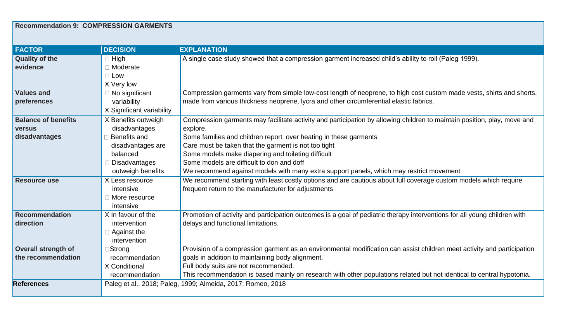## **Recommendation 9: COMPRESSION GARMENTS**

| <b>FACTOR</b>              | <b>DECISION</b>           | <b>EXPLANATION</b>                                                                                                        |
|----------------------------|---------------------------|---------------------------------------------------------------------------------------------------------------------------|
| <b>Quality of the</b>      | $\Box$ High               | A single case study showed that a compression garment increased child's ability to roll (Paleg 1999).                     |
| evidence                   | $\Box$ Moderate           |                                                                                                                           |
|                            | $\Box$ Low                |                                                                                                                           |
|                            | X Very low                |                                                                                                                           |
| <b>Values and</b>          | $\Box$ No significant     | Compression garments vary from simple low-cost length of neoprene, to high cost custom made vests, shirts and shorts,     |
| preferences                | variability               | made from various thickness neoprene, lycra and other circumferential elastic fabrics.                                    |
|                            | X Significant variability |                                                                                                                           |
| <b>Balance of benefits</b> | X Benefits outweigh       | Compression garments may facilitate activity and participation by allowing children to maintain position, play, move and  |
| <b>versus</b>              | disadvantages             | explore.                                                                                                                  |
| disadvantages              | Benefits and              | Some families and children report over heating in these garments                                                          |
|                            | disadvantages are         | Care must be taken that the garment is not too tight                                                                      |
|                            | balanced                  | Some models make diapering and toileting difficult                                                                        |
|                            | Disadvantages             | Some models are difficult to don and doff                                                                                 |
|                            | outweigh benefits         | We recommend against models with many extra support panels, which may restrict movement                                   |
| <b>Resource use</b>        | X Less resource           | We recommend starting with least costly options and are cautious about full coverage custom models which require          |
|                            | intensive                 | frequent return to the manufacturer for adjustments                                                                       |
|                            | $\Box$ More resource      |                                                                                                                           |
|                            | intensive                 |                                                                                                                           |
| <b>Recommendation</b>      | X In favour of the        | Promotion of activity and participation outcomes is a goal of pediatric therapy interventions for all young children with |
| direction                  | intervention              | delays and functional limitations.                                                                                        |
|                            | $\Box$ Against the        |                                                                                                                           |
|                            | intervention              |                                                                                                                           |
| <b>Overall strength of</b> | ∃Strong                   | Provision of a compression garment as an environmental modification can assist children meet activity and participation   |
| the recommendation         | recommendation            | goals in addition to maintaining body alignment.                                                                          |
|                            | X Conditional             | Full body suits are not recommended.                                                                                      |
|                            | recommendation            | This recommendation is based mainly on research with other populations related but not identical to central hypotonia.    |
| <b>References</b>          |                           | Paleg et al., 2018; Paleg, 1999; Almeida, 2017; Romeo, 2018                                                               |
|                            |                           |                                                                                                                           |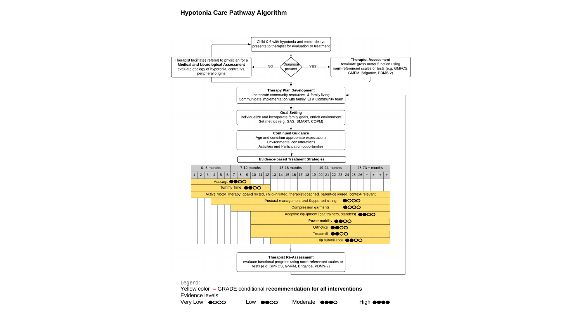## **Hypotonia Care Pathway Algorithm**



Evidence levels:

| Very Low <b>@OOO</b> | Low <b>@@OO</b> | Moderate <b>COO</b> O | High <b>@@@@</b> |
|----------------------|-----------------|-----------------------|------------------|
|----------------------|-----------------|-----------------------|------------------|